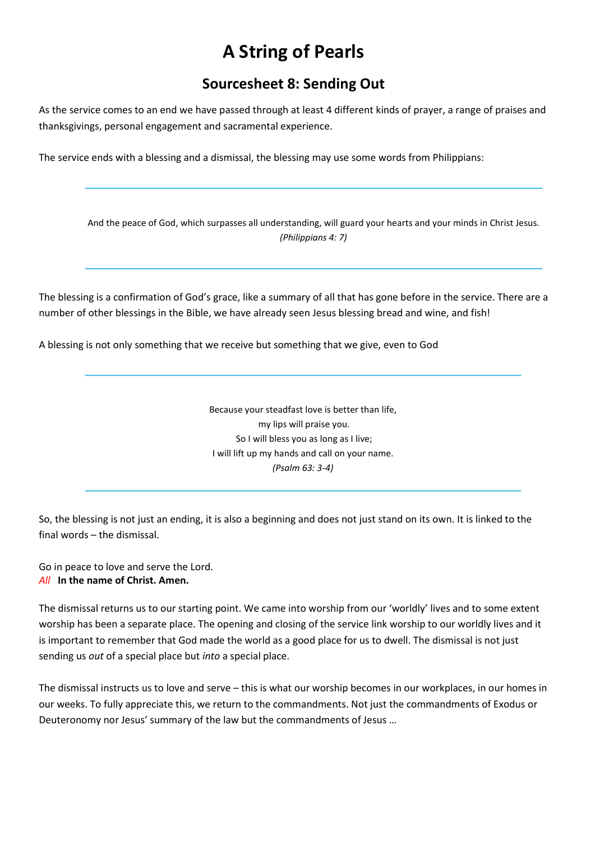# A String of Pearls

## Sourcesheet 8: Sending Out

As the service comes to an end we have passed through at least 4 different kinds of prayer, a range of praises and thanksgivings, personal engagement and sacramental experience.

The service ends with a blessing and a dismissal, the blessing may use some words from Philippians:

And the peace of God, which surpasses all understanding, will guard your hearts and your minds in Christ Jesus. (Philippians 4: 7)

The blessing is a confirmation of God's grace, like a summary of all that has gone before in the service. There are a number of other blessings in the Bible, we have already seen Jesus blessing bread and wine, and fish!

A blessing is not only something that we receive but something that we give, even to God

Because your steadfast love is better than life, my lips will praise you. So I will bless you as long as I live; I will lift up my hands and call on your name. (Psalm 63: 3-4)

So, the blessing is not just an ending, it is also a beginning and does not just stand on its own. It is linked to the final words – the dismissal.

Go in peace to love and serve the Lord. All In the name of Christ. Amen.

The dismissal returns us to our starting point. We came into worship from our 'worldly' lives and to some extent worship has been a separate place. The opening and closing of the service link worship to our worldly lives and it is important to remember that God made the world as a good place for us to dwell. The dismissal is not just sending us out of a special place but into a special place.

The dismissal instructs us to love and serve – this is what our worship becomes in our workplaces, in our homes in our weeks. To fully appreciate this, we return to the commandments. Not just the commandments of Exodus or Deuteronomy nor Jesus' summary of the law but the commandments of Jesus …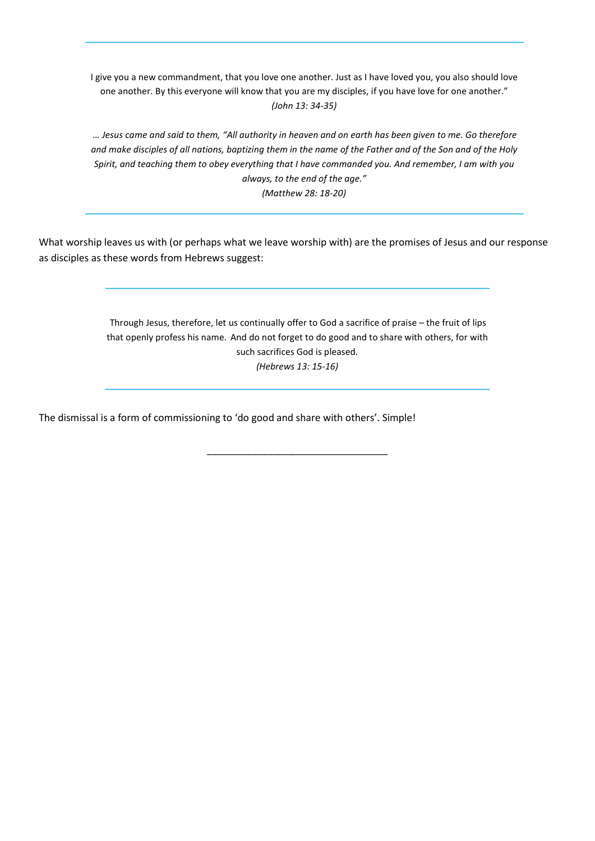I give you a new commandment, that you love one another. Just as I have loved you, you also should love one another. By this everyone will know that you are my disciples, if you have love for one another." (John 13: 34-35)

… Jesus came and said to them, "All authority in heaven and on earth has been given to me. Go therefore and make disciples of all nations, baptizing them in the name of the Father and of the Son and of the Holy Spirit, and teaching them to obey everything that I have commanded you. And remember, I am with you always, to the end of the age." (Matthew 28: 18-20)

What worship leaves us with (or perhaps what we leave worship with) are the promises of Jesus and our response as disciples as these words from Hebrews suggest:

> Through Jesus, therefore, let us continually offer to God a sacrifice of praise – the fruit of lips that openly profess his name. And do not forget to do good and to share with others, for with such sacrifices God is pleased. (Hebrews 13: 15-16)

> > \_\_\_\_\_\_\_\_\_\_\_\_\_\_\_\_\_\_\_\_\_\_\_\_\_\_\_\_\_\_\_\_\_

The dismissal is a form of commissioning to 'do good and share with others'. Simple!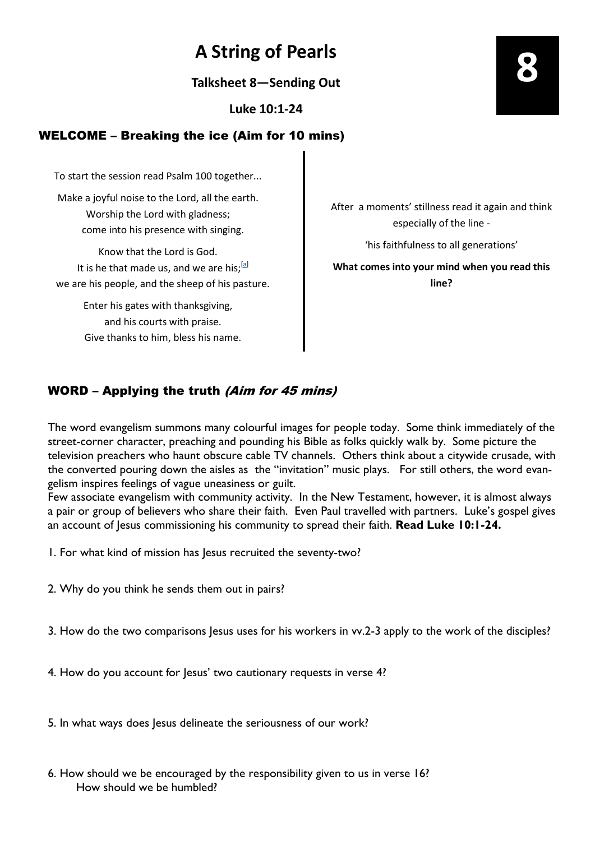## A String of Pearls

Talksheet 8—Sending Out

Luke 10:1-24

### WELCOME – Breaking the ice (Aim for 10 mins)

To start the session read Psalm 100 together...

Make a joyful noise to the Lord, all the earth. Worship the Lord with gladness; come into his presence with singing.

Know that the Lord is God. It is he that made us, and we are his; $^{[a]}$ we are his people, and the sheep of his pasture.

> Enter his gates with thanksgiving, and his courts with praise. Give thanks to him, bless his name.

After a moments' stillness read it again and think especially of the line -

'his faithfulness to all generations'

What comes into your mind when you read this line?

### WORD – Applying the truth (Aim for 45 mins)

The word evangelism summons many colourful images for people today. Some think immediately of the street-corner character, preaching and pounding his Bible as folks quickly walk by. Some picture the television preachers who haunt obscure cable TV channels. Others think about a citywide crusade, with the converted pouring down the aisles as the "invitation" music plays. For still others, the word evangelism inspires feelings of vague uneasiness or guilt.

Few associate evangelism with community activity. In the New Testament, however, it is almost always a pair or group of believers who share their faith. Even Paul travelled with partners. Luke's gospel gives an account of Jesus commissioning his community to spread their faith. Read Luke 10:1-24.

1. For what kind of mission has Jesus recruited the seventy-two?

2. Why do you think he sends them out in pairs?

3. How do the two comparisons Jesus uses for his workers in vv.2-3 apply to the work of the disciples?

4. How do you account for Jesus' two cautionary requests in verse 4?

5. In what ways does Jesus delineate the seriousness of our work?

6. How should we be encouraged by the responsibility given to us in verse 16? How should we be humbled?